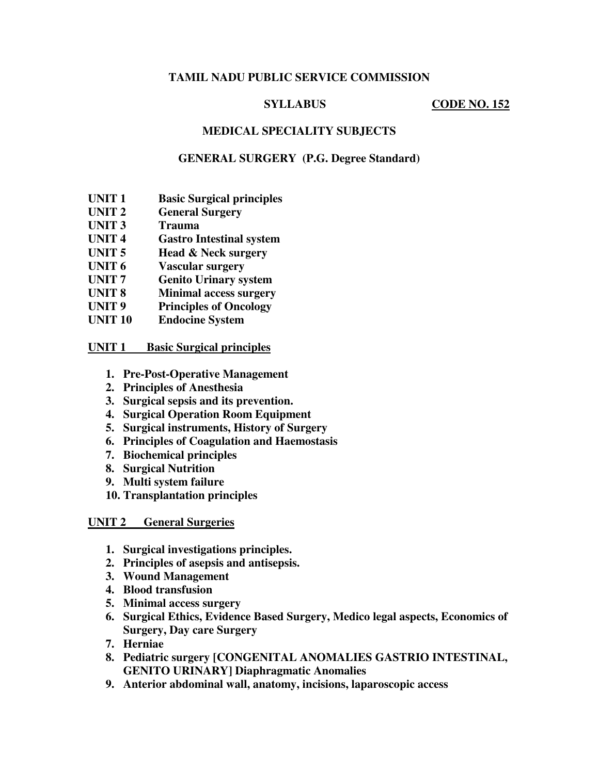# **TAMIL NADU PUBLIC SERVICE COMMISSION**

# **SYLLABUS CODE NO. 152**

# **MEDICAL SPECIALITY SUBJECTS**

## **GENERAL SURGERY (P.G. Degree Standard)**

- **UNIT 1 Basic Surgical principles**
- **UNIT 2 General Surgery**
- **UNIT 3 Trauma**
- **UNIT 4 Gastro Intestinal system**
- **UNIT 5 Head & Neck surgery**
- **UNIT 6 Vascular surgery**
- **UNIT 7 Genito Urinary system**
- **UNIT 8 Minimal access surgery**
- **UNIT 9 Principles of Oncology**
- **UNIT 10 Endocine System**

### **UNIT 1 Basic Surgical principles**

- **1. Pre-Post-Operative Management**
- **2. Principles of Anesthesia**
- **3. Surgical sepsis and its prevention.**
- **4. Surgical Operation Room Equipment**
- **5. Surgical instruments, History of Surgery**
- **6. Principles of Coagulation and Haemostasis**
- **7. Biochemical principles**
- **8. Surgical Nutrition**
- **9. Multi system failure**
- **10. Transplantation principles**

### **UNIT 2 General Surgeries**

- **1. Surgical investigations principles.**
- **2. Principles of asepsis and antisepsis.**
- **3. Wound Management**
- **4. Blood transfusion**
- **5. Minimal access surgery**
- **6. Surgical Ethics, Evidence Based Surgery, Medico legal aspects, Economics of Surgery, Day care Surgery**
- **7. Herniae**
- **8. Pediatric surgery [CONGENITAL ANOMALIES GASTRIO INTESTINAL, GENITO URINARY] Diaphragmatic Anomalies**
- **9. Anterior abdominal wall, anatomy, incisions, laparoscopic access**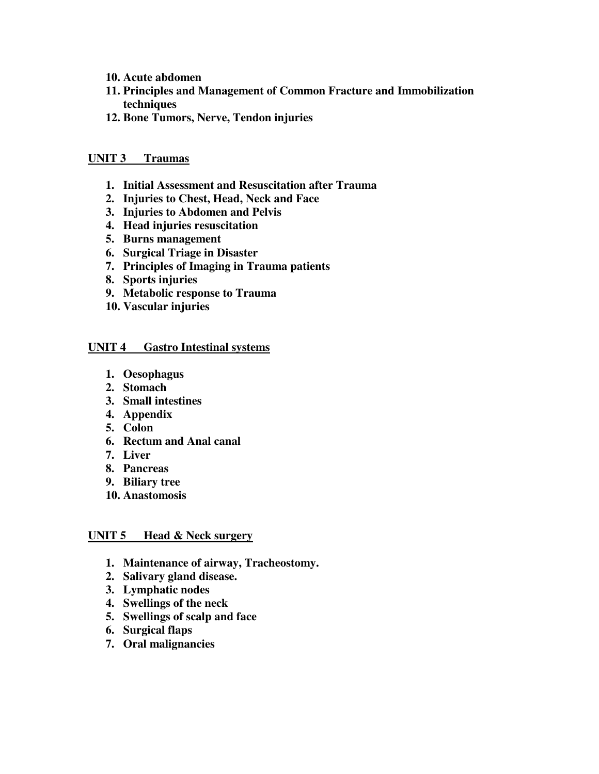- **10. Acute abdomen**
- **11. Principles and Management of Common Fracture and Immobilization techniques**
- **12. Bone Tumors, Nerve, Tendon injuries**

## **UNIT 3 Traumas**

- **1. Initial Assessment and Resuscitation after Trauma**
- **2. Injuries to Chest, Head, Neck and Face**
- **3. Injuries to Abdomen and Pelvis**
- **4. Head injuries resuscitation**
- **5. Burns management**
- **6. Surgical Triage in Disaster**
- **7. Principles of Imaging in Trauma patients**
- **8. Sports injuries**
- **9. Metabolic response to Trauma**
- **10. Vascular injuries**

### **UNIT 4 Gastro Intestinal systems**

- **1. Oesophagus**
- **2. Stomach**
- **3. Small intestines**
- **4. Appendix**
- **5. Colon**
- **6. Rectum and Anal canal**
- **7. Liver**
- **8. Pancreas**
- **9. Biliary tree**
- **10. Anastomosis**

### **UNIT 5 Head & Neck surgery**

- **1. Maintenance of airway, Tracheostomy.**
- **2. Salivary gland disease.**
- **3. Lymphatic nodes**
- **4. Swellings of the neck**
- **5. Swellings of scalp and face**
- **6. Surgical flaps**
- **7. Oral malignancies**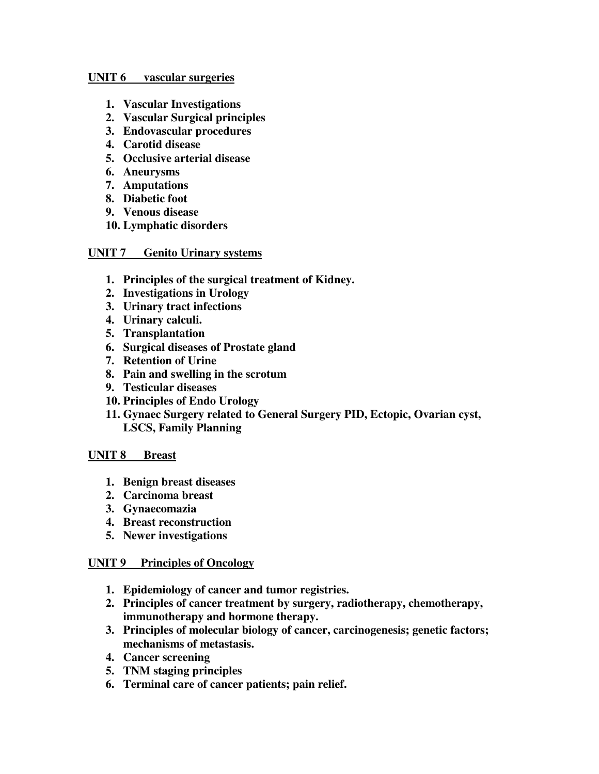#### **UNIT 6 vascular surgeries**

- **1. Vascular Investigations**
- **2. Vascular Surgical principles**
- **3. Endovascular procedures**
- **4. Carotid disease**
- **5. Occlusive arterial disease**
- **6. Aneurysms**
- **7. Amputations**
- **8. Diabetic foot**
- **9. Venous disease**
- **10. Lymphatic disorders**

## **UNIT 7 Genito Urinary systems**

- **1. Principles of the surgical treatment of Kidney.**
- **2. Investigations in Urology**
- **3. Urinary tract infections**
- **4. Urinary calculi.**
- **5. Transplantation**
- **6. Surgical diseases of Prostate gland**
- **7. Retention of Urine**
- **8. Pain and swelling in the scrotum**
- **9. Testicular diseases**
- **10. Principles of Endo Urology**
- **11. Gynaec Surgery related to General Surgery PID, Ectopic, Ovarian cyst, LSCS, Family Planning**

### **UNIT 8 Breast**

- **1. Benign breast diseases**
- **2. Carcinoma breast**
- **3. Gynaecomazia**
- **4. Breast reconstruction**
- **5. Newer investigations**

### **UNIT 9 Principles of Oncology**

- **1. Epidemiology of cancer and tumor registries.**
- **2. Principles of cancer treatment by surgery, radiotherapy, chemotherapy, immunotherapy and hormone therapy.**
- **3. Principles of molecular biology of cancer, carcinogenesis; genetic factors; mechanisms of metastasis.**
- **4. Cancer screening**
- **5. TNM staging principles**
- **6. Terminal care of cancer patients; pain relief.**